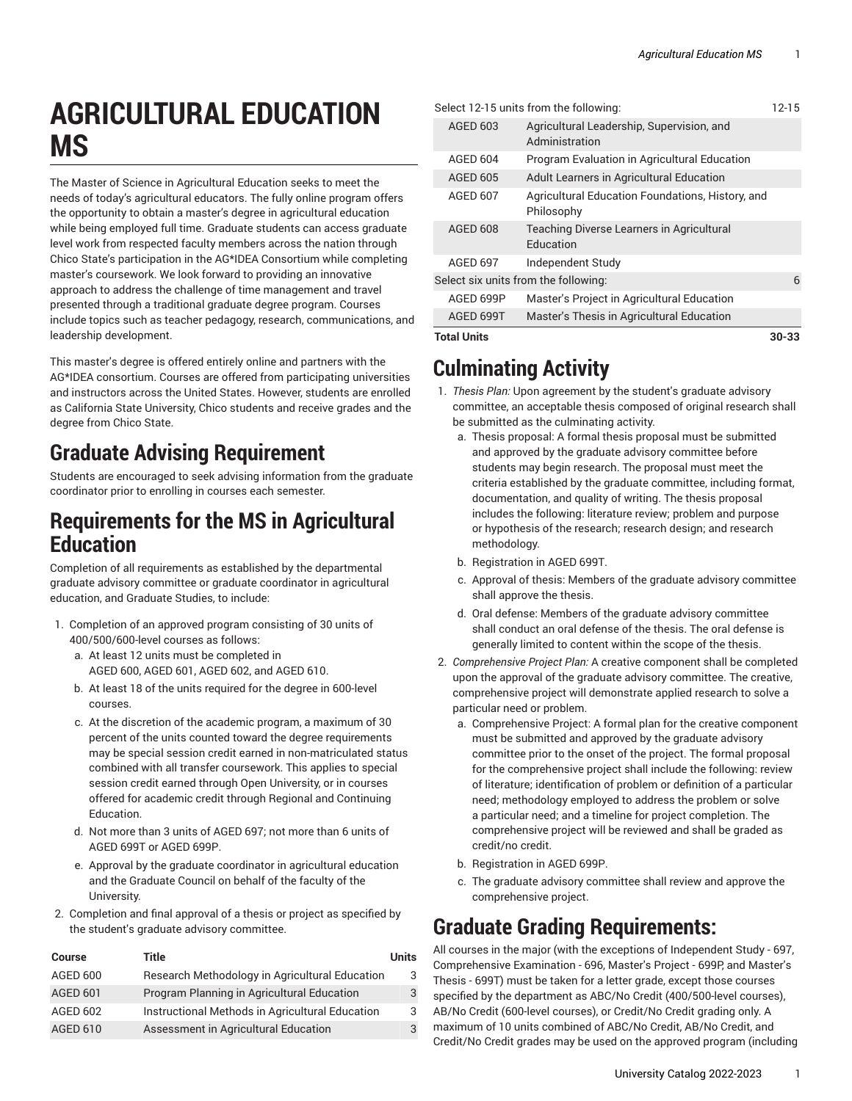# **AGRICULTURAL EDUCATION MS**

The Master of Science in Agricultural Education seeks to meet the needs of today's agricultural educators. The fully online program offers the opportunity to obtain a master's degree in agricultural education while being employed full time. Graduate students can access graduate level work from respected faculty members across the nation through Chico State's participation in the AG\*IDEA Consortium while completing master's coursework. We look forward to providing an innovative approach to address the challenge of time management and travel presented through a traditional graduate degree program. Courses include topics such as teacher pedagogy, research, communications, and leadership development.

This master's degree is offered entirely online and partners with the AG\*IDEA consortium. Courses are offered from participating universities and instructors across the United States. However, students are enrolled as California State University, Chico students and receive grades and the degree from Chico State.

### **Graduate Advising Requirement**

Students are encouraged to seek advising information from the graduate coordinator prior to enrolling in courses each semester.

#### **Requirements for the MS in Agricultural Education**

Completion of all requirements as established by the departmental graduate advisory committee or graduate coordinator in agricultural education, and Graduate Studies, to include:

- 1. Completion of an approved program consisting of 30 units of 400/500/600-level courses as follows:
	- a. At least 12 units must be completed in AGED 600, AGED 601, AGED 602, and AGED 610.
	- b. At least 18 of the units required for the degree in 600-level courses.
	- c. At the discretion of the academic program, a maximum of 30 percent of the units counted toward the degree requirements may be special session credit earned in non-matriculated status combined with all transfer coursework. This applies to special session credit earned through Open University, or in courses offered for academic credit through Regional and Continuing Education.
	- d. Not more than 3 units of AGED 697; not more than 6 units of AGED 699T or AGED 699P.
	- e. Approval by the graduate coordinator in agricultural education and the Graduate Council on behalf of the faculty of the University.
- 2. Completion and final approval of a thesis or project as specified by the student's graduate advisory committee.

| <b>Course</b>   | Title                                           | Units |
|-----------------|-------------------------------------------------|-------|
| AGED 600        | Research Methodology in Agricultural Education  | 3     |
| <b>AGED 601</b> | Program Planning in Agricultural Education      |       |
| AGED 602        | Instructional Methods in Agricultural Education | 3     |
| <b>AGED 610</b> | Assessment in Agricultural Education            |       |

| <b>Total Units</b>                   |                 |                                                                | 30-33 |
|--------------------------------------|-----------------|----------------------------------------------------------------|-------|
|                                      | AGED 699T       | Master's Thesis in Agricultural Education                      |       |
|                                      | AGED 699P       | Master's Project in Agricultural Education                     |       |
| Select six units from the following: |                 |                                                                | 6     |
|                                      | <b>AGED 697</b> | Independent Study                                              |       |
|                                      | <b>AGED 608</b> | Teaching Diverse Learners in Agricultural<br>Education         |       |
|                                      | <b>AGED 607</b> | Agricultural Education Foundations, History, and<br>Philosophy |       |
|                                      | AGED 605        | Adult Learners in Agricultural Education                       |       |
|                                      | <b>AGED 604</b> | Program Evaluation in Agricultural Education                   |       |
|                                      | <b>AGED 603</b> | Agricultural Leadership, Supervision, and<br>Administration    |       |
|                                      |                 | Select 12-15 units from the following:                         | 12-15 |

### **Culminating Activity**

- 1. *Thesis Plan:* Upon agreement by the student's graduate advisory committee, an acceptable thesis composed of original research shall be submitted as the culminating activity.
	- a. Thesis proposal: A formal thesis proposal must be submitted and approved by the graduate advisory committee before students may begin research. The proposal must meet the criteria established by the graduate committee, including format, documentation, and quality of writing. The thesis proposal includes the following: literature review; problem and purpose or hypothesis of the research; research design; and research methodology.
	- b. Registration in AGED 699T.
	- c. Approval of thesis: Members of the graduate advisory committee shall approve the thesis.
	- d. Oral defense: Members of the graduate advisory committee shall conduct an oral defense of the thesis. The oral defense is generally limited to content within the scope of the thesis.
- 2. *Comprehensive Project Plan:* A creative component shall be completed upon the approval of the graduate advisory committee. The creative, comprehensive project will demonstrate applied research to solve a particular need or problem.
	- a. Comprehensive Project: A formal plan for the creative component must be submitted and approved by the graduate advisory committee prior to the onset of the project. The formal proposal for the comprehensive project shall include the following: review of literature; identification of problem or definition of a particular need; methodology employed to address the problem or solve a particular need; and a timeline for project completion. The comprehensive project will be reviewed and shall be graded as credit/no credit.
	- b. Registration in AGED 699P.
	- c. The graduate advisory committee shall review and approve the comprehensive project.

## **Graduate Grading Requirements:**

All courses in the major (with the exceptions of Independent Study - 697, Comprehensive Examination - 696, Master's Project - 699P, and Master's Thesis - 699T) must be taken for a letter grade, except those courses specified by the department as ABC/No Credit (400/500-level courses), AB/No Credit (600-level courses), or Credit/No Credit grading only. A maximum of 10 units combined of ABC/No Credit, AB/No Credit, and Credit/No Credit grades may be used on the approved program (including